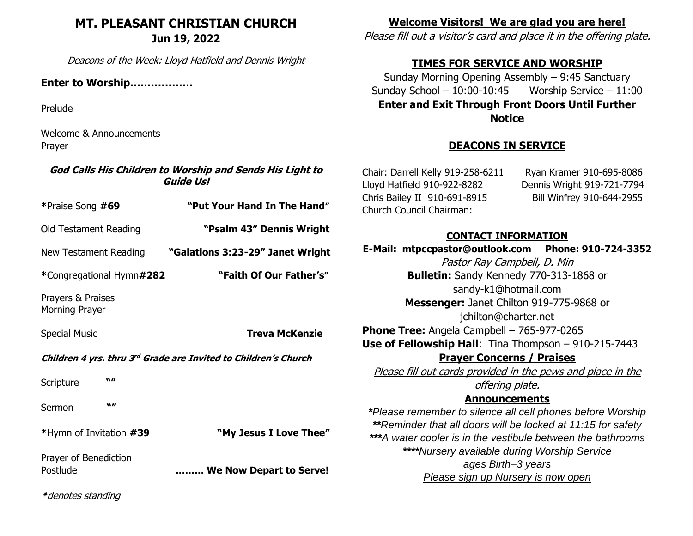## **MT. PLEASANT CHRISTIAN CHURCH Jun 19, 2022**

Deacons of the Week: Lloyd Hatfield and Dennis Wright

#### **Enter to Worship………………**

Prelude

Welcome & Announcements Prayer

#### **God Calls His Children to Worship and Sends His Light to Guide Us!**

| *Praise Song #69                                                |          | "Put Your Hand In The Hand"      |
|-----------------------------------------------------------------|----------|----------------------------------|
| Old Testament Reading                                           |          | "Psalm 43" Dennis Wright         |
| New Testament Reading                                           |          | "Galations 3:23-29" Janet Wright |
| *Congregational Hymn#282                                        |          | "Faith Of Our Father's"          |
| Prayers & Praises<br><b>Morning Prayer</b>                      |          |                                  |
| <b>Special Music</b>                                            |          | Treva McKenzie                   |
| Children 4 yrs. thru 3rd Grade are Invited to Children's Church |          |                                  |
| Scripture                                                       | $\bf{W}$ |                                  |
| Sermon                                                          | $\bf{W}$ |                                  |
| *Hymn of Invitation #39                                         |          | "My Jesus I Love Thee"           |
| Prayer of Benediction<br>Postlude                               |          | We Now Depart to Serve!          |

# **Welcome Visitors! We are glad you are here!**

Please fill out a visitor's card and place it in the offering plate.

# **TIMES FOR SERVICE AND WORSHIP**

Sunday Morning Opening Assembly – 9:45 Sanctuary Sunday School – 10:00-10:45 Worship Service – 11:00 **Enter and Exit Through Front Doors Until Further Notice**

# **DEACONS IN SERVICE**

Chair: Darrell Kelly 919-258-6211 Ryan Kramer 910-695-8086 Lloyd Hatfield 910-922-8282 Dennis Wright 919-721-7794 Chris Bailey II 910-691-8915 Bill Winfrey 910-644-2955 Church Council Chairman:

### **CONTACT INFORMATION**

**E-Mail: [mtpccpastor@outlook.com](mailto:mtpccpastor@outlook.com) Phone: 910-724-3352** Pastor Ray Campbell, D. Min **Bulletin:** Sandy Kennedy 770-313-1868 or [sandy-k1@hotmail.com](mailto:sandy-k1@hotmail.com) **Messenger:** Janet Chilton 919-775-9868 or jchilton@charter.net **Phone Tree:** Angela Campbell – 765-977-0265 **Use of Fellowship Hall**: Tina Thompson – 910-215-7443 **Prayer Concerns / Praises** Please fill out cards provided in the pews and place in the offering plate. **Announcements** *\*Please remember to silence all cell phones before Worship \*\*Reminder that all doors will be locked at 11:15 for safety \*\*\*A water cooler is in the vestibule between the bathrooms \*\*\*\*Nursery available during Worship Service ages Birth–3 years Please sign up Nursery is now open*

**\***denotes standing